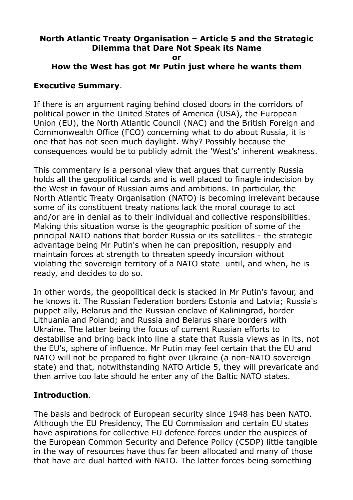#### **North Atlantic Treaty Organisation – Article 5 and the Strategic Dilemma that Dare Not Speak its Name or**

## **How the West has got Mr Putin just where he wants them**

#### **Executive Summary**.

If there is an argument raging behind closed doors in the corridors of political power in the United States of America (USA), the European Union (EU), the North Atlantic Council (NAC) and the British Foreign and Commonwealth Office (FCO) concerning what to do about Russia, it is one that has not seen much daylight. Why? Possibly because the consequences would be to publicly admit the 'West's' inherent weakness.

This commentary is a personal view that argues that currently Russia holds all the geopolitical cards and is well placed to finagle indecision by the West in favour of Russian aims and ambitions. In particular, the North Atlantic Treaty Organisation (NATO) is becoming irrelevant because some of its constituent treaty nations lack the moral courage to act and/or are in denial as to their individual and collective responsibilities. Making this situation worse is the geographic position of some of the principal NATO nations that border Russia or its satellites - the strategic advantage being Mr Putin's when he can preposition, resupply and maintain forces at strength to threaten speedy incursion without violating the sovereign territory of a NATO state until, and when, he is ready, and decides to do so.

In other words, the geopolitical deck is stacked in Mr Putin's favour, and he knows it. The Russian Federation borders Estonia and Latvia; Russia's puppet ally, Belarus and the Russian enclave of Kaliningrad, border Lithuania and Poland; and Russia and Belarus share borders with Ukraine. The latter being the focus of current Russian efforts to destabilise and bring back into line a state that Russia views as in its, not the EU's, sphere of influence. Mr Putin may feel certain that the EU and NATO will not be prepared to fight over Ukraine (a non-NATO sovereign state) and that, notwithstanding NATO Article 5, they will prevaricate and then arrive too late should he enter any of the Baltic NATO states.

## **Introduction**.

The basis and bedrock of European security since 1948 has been NATO. Although the EU Presidency, The EU Commission and certain EU states have aspirations for collective EU defence forces under the auspices of the European Common Security and Defence Policy (CSDP) little tangible in the way of resources have thus far been allocated and many of those that have are dual hatted with NATO. The latter forces being something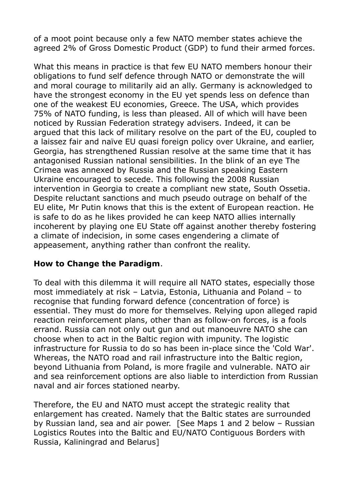of a moot point because only a few NATO member states achieve the agreed 2% of Gross Domestic Product (GDP) to fund their armed forces.

What this means in practice is that few EU NATO members honour their obligations to fund self defence through NATO or demonstrate the will and moral courage to militarily aid an ally. Germany is acknowledged to have the strongest economy in the EU yet spends less on defence than one of the weakest EU economies, Greece. The USA, which provides 75% of NATO funding, is less than pleased. All of which will have been noticed by Russian Federation strategy advisers. Indeed, it can be argued that this lack of military resolve on the part of the EU, coupled to a laissez fair and naïve EU quasi foreign policy over Ukraine, and earlier, Georgia, has strengthened Russian resolve at the same time that it has antagonised Russian national sensibilities. In the blink of an eye The Crimea was annexed by Russia and the Russian speaking Eastern Ukraine encouraged to secede. This following the 2008 Russian intervention in Georgia to create a compliant new state, South Ossetia. Despite reluctant sanctions and much pseudo outrage on behalf of the EU elite, Mr Putin knows that this is the extent of European reaction. He is safe to do as he likes provided he can keep NATO allies internally incoherent by playing one EU State off against another thereby fostering a climate of indecision, in some cases engendering a climate of appeasement, anything rather than confront the reality.

#### **How to Change the Paradigm**.

To deal with this dilemma it will require all NATO states, especially those most immediately at risk – Latvia, Estonia, Lithuania and Poland – to recognise that funding forward defence (concentration of force) is essential. They must do more for themselves. Relying upon alleged rapid reaction reinforcement plans, other than as follow-on forces, is a fools errand. Russia can not only out gun and out manoeuvre NATO she can choose when to act in the Baltic region with impunity. The logistic infrastructure for Russia to do so has been in-place since the 'Cold War'. Whereas, the NATO road and rail infrastructure into the Baltic region, beyond Lithuania from Poland, is more fragile and vulnerable. NATO air and sea reinforcement options are also liable to interdiction from Russian naval and air forces stationed nearby.

Therefore, the EU and NATO must accept the strategic reality that enlargement has created. Namely that the Baltic states are surrounded by Russian land, sea and air power. [See Maps 1 and 2 below – Russian Logistics Routes into the Baltic and EU/NATO Contiguous Borders with Russia, Kaliningrad and Belarus]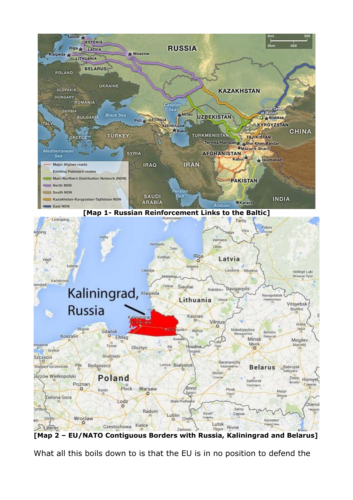

**[Map 2 – EU/NATO Contiguous Borders with Russia, Kaliningrad and Belarus]**

What all this boils down to is that the EU is in no position to defend the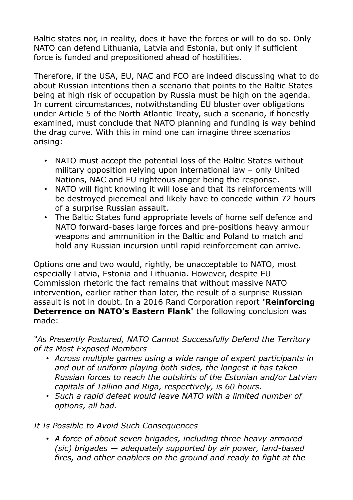Baltic states nor, in reality, does it have the forces or will to do so. Only NATO can defend Lithuania, Latvia and Estonia, but only if sufficient force is funded and prepositioned ahead of hostilities.

Therefore, if the USA, EU, NAC and FCO are indeed discussing what to do about Russian intentions then a scenario that points to the Baltic States being at high risk of occupation by Russia must be high on the agenda. In current circumstances, notwithstanding EU bluster over obligations under Article 5 of the North Atlantic Treaty, such a scenario, if honestly examined, must conclude that NATO planning and funding is way behind the drag curve. With this in mind one can imagine three scenarios arising:

- NATO must accept the potential loss of the Baltic States without military opposition relying upon international law – only United Nations, NAC and EU righteous anger being the response.
- NATO will fight knowing it will lose and that its reinforcements will be destroyed piecemeal and likely have to concede within 72 hours of a surprise Russian assault.
- The Baltic States fund appropriate levels of home self defence and NATO forward-bases large forces and pre-positions heavy armour weapons and ammunition in the Baltic and Poland to match and hold any Russian incursion until rapid reinforcement can arrive.

Options one and two would, rightly, be unacceptable to NATO, most especially Latvia, Estonia and Lithuania. However, despite EU Commission rhetoric the fact remains that without massive NATO intervention, earlier rather than later, the result of a surprise Russian assault is not in doubt. In a 2016 Rand Corporation report **'Reinforcing Deterrence on NATO's Eastern Flank'** the following conclusion was made:

*"As Presently Postured, NATO Cannot Successfully Defend the Territory of its Most Exposed Members*

- *Across multiple games using a wide range of expert participants in and out of uniform playing both sides, the longest it has taken Russian forces to reach the outskirts of the Estonian and/or Latvian capitals of Tallinn and Riga, respectively, is 60 hours.*
- *Such a rapid defeat would leave NATO with a limited number of options, all bad.*

*It Is Possible to Avoid Such Consequences*

• *A force of about seven brigades, including three heavy armored (sic) brigades — adequately supported by air power, land-based fires, and other enablers on the ground and ready to fight at the*